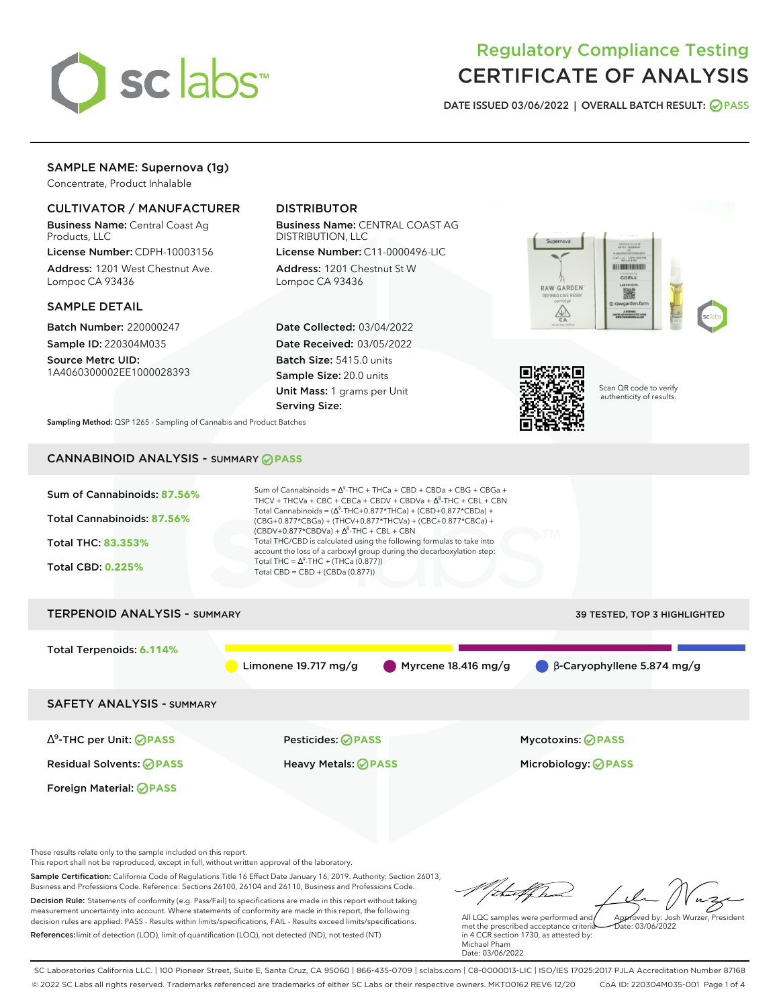

# Regulatory Compliance Testing CERTIFICATE OF ANALYSIS

**DATE ISSUED 03/06/2022 | OVERALL BATCH RESULT: PASS**

## SAMPLE NAME: Supernova (1g)

Concentrate, Product Inhalable

## CULTIVATOR / MANUFACTURER

Business Name: Central Coast Ag Products, LLC

License Number: CDPH-10003156 Address: 1201 West Chestnut Ave. Lompoc CA 93436

#### SAMPLE DETAIL

Batch Number: 220000247 Sample ID: 220304M035

Source Metrc UID: 1A4060300002EE1000028393

## DISTRIBUTOR

Business Name: CENTRAL COAST AG DISTRIBUTION, LLC

License Number: C11-0000496-LIC Address: 1201 Chestnut St W Lompoc CA 93436

Date Collected: 03/04/2022 Date Received: 03/05/2022 Batch Size: 5415.0 units Sample Size: 20.0 units Unit Mass: 1 grams per Unit Serving Size:





Scan QR code to verify authenticity of results.

**Sampling Method:** QSP 1265 - Sampling of Cannabis and Product Batches

## CANNABINOID ANALYSIS - SUMMARY **PASS**



Sample Certification: California Code of Regulations Title 16 Effect Date January 16, 2019. Authority: Section 26013, Business and Professions Code. Reference: Sections 26100, 26104 and 26110, Business and Professions Code. Decision Rule: Statements of conformity (e.g. Pass/Fail) to specifications are made in this report without taking measurement uncertainty into account. Where statements of conformity are made in this report, the following decision rules are applied: PASS - Results within limits/specifications, FAIL - Results exceed limits/specifications.

References:limit of detection (LOD), limit of quantification (LOQ), not detected (ND), not tested (NT)

talfha All LQC samples were performed and Approved by: Josh Wurzer, President

 $ate: 03/06/2022$ 

met the prescribed acceptance criteria in 4 CCR section 1730, as attested by: Michael Pham Date: 03/06/2022

SC Laboratories California LLC. | 100 Pioneer Street, Suite E, Santa Cruz, CA 95060 | 866-435-0709 | sclabs.com | C8-0000013-LIC | ISO/IES 17025:2017 PJLA Accreditation Number 87168 © 2022 SC Labs all rights reserved. Trademarks referenced are trademarks of either SC Labs or their respective owners. MKT00162 REV6 12/20 CoA ID: 220304M035-001 Page 1 of 4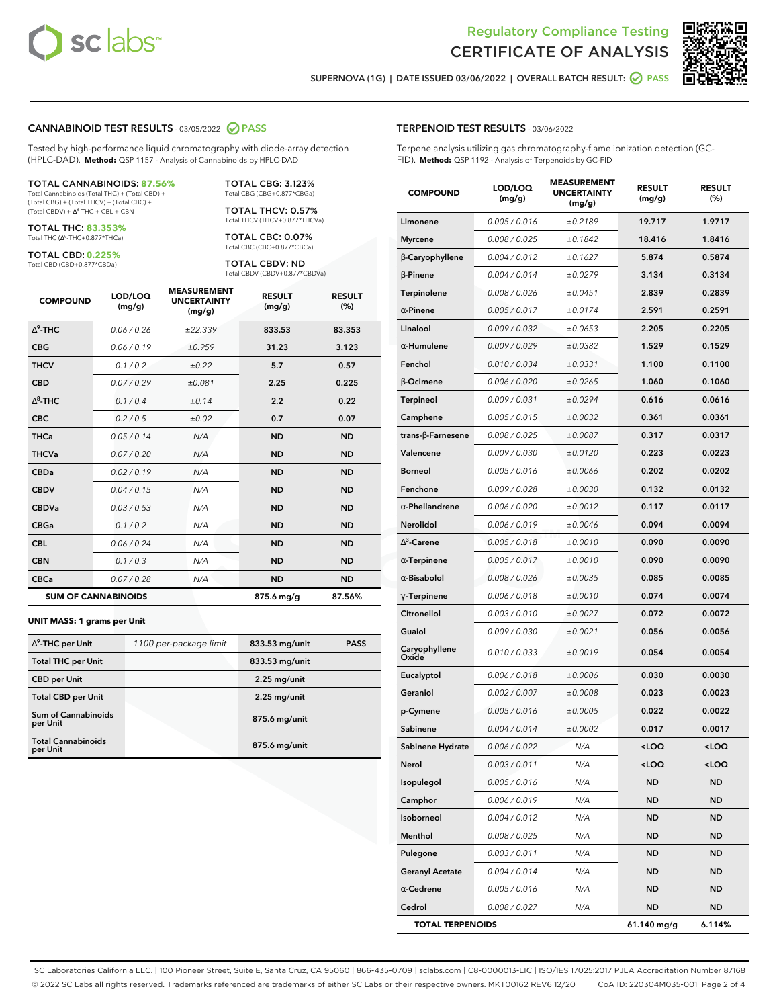



**SUPERNOVA (1G) | DATE ISSUED 03/06/2022 | OVERALL BATCH RESULT: PASS**

#### **CANNABINOID TEST RESULTS** - 03/05/2022 **PASS**

Tested by high-performance liquid chromatography with diode-array detection (HPLC-DAD). **Method:** QSP 1157 - Analysis of Cannabinoids by HPLC-DAD

#### TOTAL CANNABINOIDS: **87.56%**

Total Cannabinoids (Total THC) + (Total CBD) + (Total CBG) + (Total THCV) + (Total CBC) +  $(Total CBDV) +  $\Delta^8$ -THC + CBL + CBN$ 

TOTAL THC: **83.353%** Total THC (Ƽ-THC+0.877\*THCa)

TOTAL CBD: **0.225%**

Total CBD (CBD+0.877\*CBDa)

TOTAL CBG: 3.123% Total CBG (CBG+0.877\*CBGa)

TOTAL THCV: 0.57% Total THCV (THCV+0.877\*THCVa)

TOTAL CBC: 0.07% Total CBC (CBC+0.877\*CBCa)

TOTAL CBDV: ND Total CBDV (CBDV+0.877\*CBDVa)

| <b>COMPOUND</b>            | LOD/LOQ<br>(mg/g) | <b>MEASUREMENT</b><br><b>UNCERTAINTY</b><br>(mg/g) | <b>RESULT</b><br>(mg/g) | <b>RESULT</b><br>(%) |
|----------------------------|-------------------|----------------------------------------------------|-------------------------|----------------------|
| $\Delta^9$ -THC            | 0.06/0.26         | ±22.339                                            | 833.53                  | 83.353               |
| <b>CBG</b>                 | 0.06/0.19         | ±0.959                                             | 31.23                   | 3.123                |
| <b>THCV</b>                | 0.1/0.2           | ±0.22                                              | 5.7                     | 0.57                 |
| <b>CBD</b>                 | 0.07/0.29         | ±0.081                                             | 2.25                    | 0.225                |
| $\Delta^8$ -THC            | 0.1/0.4           | ±0.14                                              | 2.2                     | 0.22                 |
| <b>CBC</b>                 | 0.2 / 0.5         | ±0.02                                              | 0.7                     | 0.07                 |
| <b>THCa</b>                | 0.05/0.14         | N/A                                                | <b>ND</b>               | <b>ND</b>            |
| <b>THCVa</b>               | 0.07/0.20         | N/A                                                | <b>ND</b>               | <b>ND</b>            |
| <b>CBDa</b>                | 0.02/0.19         | N/A                                                | <b>ND</b>               | <b>ND</b>            |
| <b>CBDV</b>                | 0.04/0.15         | N/A                                                | <b>ND</b>               | <b>ND</b>            |
| <b>CBDVa</b>               | 0.03 / 0.53       | N/A                                                | <b>ND</b>               | <b>ND</b>            |
| <b>CBGa</b>                | 0.1 / 0.2         | N/A                                                | <b>ND</b>               | <b>ND</b>            |
| <b>CBL</b>                 | 0.06 / 0.24       | N/A                                                | <b>ND</b>               | <b>ND</b>            |
| <b>CBN</b>                 | 0.1/0.3           | N/A                                                | <b>ND</b>               | <b>ND</b>            |
| <b>CBCa</b>                | 0.07/0.28         | N/A                                                | <b>ND</b>               | <b>ND</b>            |
| <b>SUM OF CANNABINOIDS</b> |                   |                                                    | 875.6 mg/g              | 87.56%               |

#### **UNIT MASS: 1 grams per Unit**

| $\Delta^9$ -THC per Unit               | 1100 per-package limit | 833.53 mg/unit | <b>PASS</b> |
|----------------------------------------|------------------------|----------------|-------------|
| <b>Total THC per Unit</b>              |                        | 833.53 mg/unit |             |
| <b>CBD per Unit</b>                    |                        | $2.25$ mg/unit |             |
| <b>Total CBD per Unit</b>              |                        | $2.25$ mg/unit |             |
| <b>Sum of Cannabinoids</b><br>per Unit |                        | 875.6 mg/unit  |             |
| <b>Total Cannabinoids</b><br>per Unit  |                        | 875.6 mg/unit  |             |

| <b>COMPOUND</b>         | LOD/LOQ<br>(mg/g) | <b>MEASUREMENT</b><br><b>UNCERTAINTY</b><br>(mg/g) | <b>RESULT</b><br>(mg/g)                          | <b>RESULT</b><br>(%) |
|-------------------------|-------------------|----------------------------------------------------|--------------------------------------------------|----------------------|
| Limonene                | 0.005 / 0.016     | ±0.2189                                            | 19.717                                           | 1.9717               |
| <b>Myrcene</b>          | 0.008 / 0.025     | ±0.1842                                            | 18.416                                           | 1.8416               |
| β-Caryophyllene         | 0.004 / 0.012     | ±0.1627                                            | 5.874                                            | 0.5874               |
| $\beta$ -Pinene         | 0.004 / 0.014     | ±0.0279                                            | 3.134                                            | 0.3134               |
| Terpinolene             | 0.008 / 0.026     | ±0.0451                                            | 2.839                                            | 0.2839               |
| $\alpha$ -Pinene        | 0.005 / 0.017     | ±0.0174                                            | 2.591                                            | 0.2591               |
| Linalool                | 0.009 / 0.032     | ±0.0653                                            | 2.205                                            | 0.2205               |
| $\alpha$ -Humulene      | 0.009 / 0.029     | ±0.0382                                            | 1.529                                            | 0.1529               |
| Fenchol                 | 0.010 / 0.034     | ±0.0331                                            | 1.100                                            | 0.1100               |
| β-Ocimene               | 0.006 / 0.020     | ±0.0265                                            | 1.060                                            | 0.1060               |
| Terpineol               | 0.009 / 0.031     | ±0.0294                                            | 0.616                                            | 0.0616               |
| Camphene                | 0.005 / 0.015     | ±0.0032                                            | 0.361                                            | 0.0361               |
| trans-β-Farnesene       | 0.008 / 0.025     | ±0.0087                                            | 0.317                                            | 0.0317               |
| Valencene               | 0.009 / 0.030     | ±0.0120                                            | 0.223                                            | 0.0223               |
| <b>Borneol</b>          | 0.005 / 0.016     | ±0.0066                                            | 0.202                                            | 0.0202               |
| Fenchone                | 0.009 / 0.028     | ±0.0030                                            | 0.132                                            | 0.0132               |
| $\alpha$ -Phellandrene  | 0.006 / 0.020     | ±0.0012                                            | 0.117                                            | 0.0117               |
| Nerolidol               | 0.006 / 0.019     | ±0.0046                                            | 0.094                                            | 0.0094               |
| $\Lambda^3$ -Carene     | 0.005 / 0.018     | ±0.0010                                            | 0.090                                            | 0.0090               |
| $\alpha$ -Terpinene     | 0.005 / 0.017     | ±0.0010                                            | 0.090                                            | 0.0090               |
| $\alpha$ -Bisabolol     | 0.008 / 0.026     | ±0.0035                                            | 0.085                                            | 0.0085               |
| $\gamma$ -Terpinene     | 0.006 / 0.018     | ±0.0010                                            | 0.074                                            | 0.0074               |
| Citronellol             | 0.003 / 0.010     | ±0.0027                                            | 0.072                                            | 0.0072               |
| Guaiol                  | 0.009 / 0.030     | ±0.0021                                            | 0.056                                            | 0.0056               |
| Caryophyllene<br>Oxide  | 0.010 / 0.033     | ±0.0019                                            | 0.054                                            | 0.0054               |
| Eucalyptol              | 0.006 / 0.018     | ±0.0006                                            | 0.030                                            | 0.0030               |
| Geraniol                | 0.002 / 0.007     | ±0.0008                                            | 0.023                                            | 0.0023               |
| p-Cymene                | 0.005 / 0.016     | ±0.0005                                            | 0.022                                            | 0.0022               |
| Sabinene                | 0.004 / 0.014     | ±0.0002                                            | 0.017                                            | 0.0017               |
| Sabinene Hydrate        | 0.006 / 0.022     | N/A                                                | <loq< th=""><th><math>&lt;</math>LOO</th></loq<> | $<$ LOO              |
| Nerol                   | 0.003 / 0.011     | N/A                                                | <loq< th=""><th><loq< th=""></loq<></th></loq<>  | <loq< th=""></loq<>  |
| Isopulegol              | 0.005 / 0.016     | N/A                                                | ND                                               | <b>ND</b>            |
| Camphor                 | 0.006 / 0.019     | N/A                                                | ND                                               | ND                   |
| Isoborneol              | 0.004 / 0.012     | N/A                                                | ND                                               | ND                   |
| Menthol                 | 0.008 / 0.025     | N/A                                                | ND                                               | ND                   |
| Pulegone                | 0.003 / 0.011     | N/A                                                | ND                                               | ND                   |
| <b>Geranyl Acetate</b>  | 0.004 / 0.014     | N/A                                                | ND                                               | ND                   |
| $\alpha$ -Cedrene       | 0.005 / 0.016     | N/A                                                | ND                                               | ND                   |
| Cedrol                  | 0.008 / 0.027     | N/A                                                | ND                                               | ND                   |
| <b>TOTAL TERPENOIDS</b> |                   |                                                    | 61.140 mg/g                                      | 6.114%               |

SC Laboratories California LLC. | 100 Pioneer Street, Suite E, Santa Cruz, CA 95060 | 866-435-0709 | sclabs.com | C8-0000013-LIC | ISO/IES 17025:2017 PJLA Accreditation Number 87168 © 2022 SC Labs all rights reserved. Trademarks referenced are trademarks of either SC Labs or their respective owners. MKT00162 REV6 12/20 CoA ID: 220304M035-001 Page 2 of 4

## **TERPENOID TEST RESULTS** - 03/06/2022

Terpene analysis utilizing gas chromatography-flame ionization detection (GC-FID). **Method:** QSP 1192 - Analysis of Terpenoids by GC-FID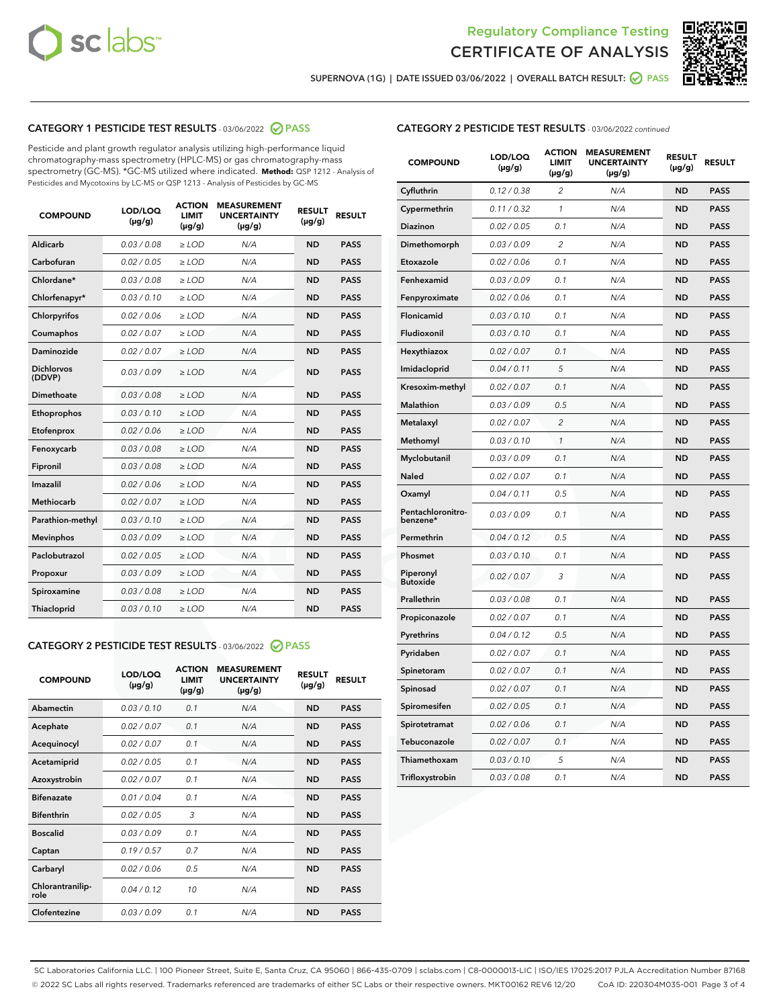



**SUPERNOVA (1G) | DATE ISSUED 03/06/2022 | OVERALL BATCH RESULT: PASS**

## **CATEGORY 1 PESTICIDE TEST RESULTS** - 03/06/2022 **PASS**

Pesticide and plant growth regulator analysis utilizing high-performance liquid chromatography-mass spectrometry (HPLC-MS) or gas chromatography-mass spectrometry (GC-MS). \*GC-MS utilized where indicated. **Method:** QSP 1212 - Analysis of Pesticides and Mycotoxins by LC-MS or QSP 1213 - Analysis of Pesticides by GC-MS

| <b>COMPOUND</b>             | LOD/LOQ<br>$(\mu g/g)$ | <b>ACTION</b><br><b>LIMIT</b><br>$(\mu g/g)$ | <b>MEASUREMENT</b><br><b>UNCERTAINTY</b><br>$(\mu g/g)$ | <b>RESULT</b><br>$(\mu g/g)$ | <b>RESULT</b> |
|-----------------------------|------------------------|----------------------------------------------|---------------------------------------------------------|------------------------------|---------------|
| Aldicarb                    | 0.03/0.08              | $>$ LOD                                      | N/A                                                     | <b>ND</b>                    | <b>PASS</b>   |
| Carbofuran                  | 0.02 / 0.05            | $\ge$ LOD                                    | N/A                                                     | <b>ND</b>                    | <b>PASS</b>   |
| Chlordane*                  | 0.03/0.08              | $>$ LOD                                      | N/A                                                     | <b>ND</b>                    | <b>PASS</b>   |
| Chlorfenapyr*               | 0.03/0.10              | $>$ LOD                                      | N/A                                                     | <b>ND</b>                    | <b>PASS</b>   |
| Chlorpyrifos                | 0.02 / 0.06            | $>$ LOD                                      | N/A                                                     | <b>ND</b>                    | <b>PASS</b>   |
| Coumaphos                   | 0.02 / 0.07            | $\ge$ LOD                                    | N/A                                                     | <b>ND</b>                    | <b>PASS</b>   |
| <b>Daminozide</b>           | 0.02 / 0.07            | $\ge$ LOD                                    | N/A                                                     | <b>ND</b>                    | <b>PASS</b>   |
| <b>Dichlorvos</b><br>(DDVP) | 0.03/0.09              | $>$ LOD                                      | N/A                                                     | <b>ND</b>                    | <b>PASS</b>   |
| Dimethoate                  | 0.03 / 0.08            | $>$ LOD                                      | N/A                                                     | <b>ND</b>                    | <b>PASS</b>   |
| Ethoprophos                 | 0.03/0.10              | $>$ LOD                                      | N/A                                                     | <b>ND</b>                    | <b>PASS</b>   |
| Etofenprox                  | 0.02 / 0.06            | $\ge$ LOD                                    | N/A                                                     | <b>ND</b>                    | <b>PASS</b>   |
| Fenoxycarb                  | 0.03/0.08              | $\ge$ LOD                                    | N/A                                                     | <b>ND</b>                    | <b>PASS</b>   |
| Fipronil                    | 0.03 / 0.08            | $\ge$ LOD                                    | N/A                                                     | <b>ND</b>                    | <b>PASS</b>   |
| Imazalil                    | 0.02 / 0.06            | $\ge$ LOD                                    | N/A                                                     | <b>ND</b>                    | <b>PASS</b>   |
| <b>Methiocarb</b>           | 0.02 / 0.07            | $\ge$ LOD                                    | N/A                                                     | <b>ND</b>                    | <b>PASS</b>   |
| Parathion-methyl            | 0.03/0.10              | $\ge$ LOD                                    | N/A                                                     | <b>ND</b>                    | <b>PASS</b>   |
| <b>Mevinphos</b>            | 0.03/0.09              | $\ge$ LOD                                    | N/A                                                     | <b>ND</b>                    | <b>PASS</b>   |
| Paclobutrazol               | 0.02 / 0.05            | $\ge$ LOD                                    | N/A                                                     | <b>ND</b>                    | <b>PASS</b>   |
| Propoxur                    | 0.03/0.09              | $\ge$ LOD                                    | N/A                                                     | <b>ND</b>                    | <b>PASS</b>   |
| Spiroxamine                 | 0.03 / 0.08            | $\ge$ LOD                                    | N/A                                                     | <b>ND</b>                    | <b>PASS</b>   |
| Thiacloprid                 | 0.03/0.10              | $>$ LOD                                      | N/A                                                     | <b>ND</b>                    | <b>PASS</b>   |

## **CATEGORY 2 PESTICIDE TEST RESULTS** - 03/06/2022 **PASS**

| <b>COMPOUND</b>          | LOD/LOO<br>$(\mu g/g)$ | <b>ACTION</b><br><b>LIMIT</b><br>$(\mu g/g)$ | <b>MEASUREMENT</b><br><b>UNCERTAINTY</b><br>$(\mu g/g)$ | <b>RESULT</b><br>$(\mu g/g)$ | <b>RESULT</b> |
|--------------------------|------------------------|----------------------------------------------|---------------------------------------------------------|------------------------------|---------------|
| Abamectin                | 0.03/0.10              | 0.1                                          | N/A                                                     | <b>ND</b>                    | <b>PASS</b>   |
| Acephate                 | 0.02/0.07              | 0.1                                          | N/A                                                     | <b>ND</b>                    | <b>PASS</b>   |
| Acequinocyl              | 0.02/0.07              | 0.1                                          | N/A                                                     | <b>ND</b>                    | <b>PASS</b>   |
| Acetamiprid              | 0.02/0.05              | 0.1                                          | N/A                                                     | <b>ND</b>                    | <b>PASS</b>   |
| Azoxystrobin             | 0.02/0.07              | 0.1                                          | N/A                                                     | <b>ND</b>                    | <b>PASS</b>   |
| <b>Bifenazate</b>        | 0.01/0.04              | 0.1                                          | N/A                                                     | <b>ND</b>                    | <b>PASS</b>   |
| <b>Bifenthrin</b>        | 0.02/0.05              | 3                                            | N/A                                                     | <b>ND</b>                    | <b>PASS</b>   |
| <b>Boscalid</b>          | 0.03/0.09              | 0.1                                          | N/A                                                     | <b>ND</b>                    | <b>PASS</b>   |
| Captan                   | 0.19/0.57              | 0.7                                          | N/A                                                     | <b>ND</b>                    | <b>PASS</b>   |
| Carbaryl                 | 0.02/0.06              | 0.5                                          | N/A                                                     | <b>ND</b>                    | <b>PASS</b>   |
| Chlorantranilip-<br>role | 0.04/0.12              | 10                                           | N/A                                                     | <b>ND</b>                    | <b>PASS</b>   |
| Clofentezine             | 0.03/0.09              | 0.1                                          | N/A                                                     | <b>ND</b>                    | <b>PASS</b>   |

#### **CATEGORY 2 PESTICIDE TEST RESULTS** - 03/06/2022 continued

| <b>COMPOUND</b>               | LOD/LOQ<br>(µg/g) | <b>ACTION</b><br>LIMIT<br>(µg/g) | <b>MEASUREMENT</b><br><b>UNCERTAINTY</b><br>(µg/g) | <b>RESULT</b><br>(µg/g) | <b>RESULT</b> |
|-------------------------------|-------------------|----------------------------------|----------------------------------------------------|-------------------------|---------------|
| Cyfluthrin                    | 0.12 / 0.38       | 2                                | N/A                                                | <b>ND</b>               | <b>PASS</b>   |
| Cypermethrin                  | 0.11 / 0.32       | $\mathbf{1}$                     | N/A                                                | <b>ND</b>               | <b>PASS</b>   |
| Diazinon                      | 0.02 / 0.05       | 0.1                              | N/A                                                | <b>ND</b>               | <b>PASS</b>   |
| Dimethomorph                  | 0.03 / 0.09       | $\overline{2}$                   | N/A                                                | <b>ND</b>               | <b>PASS</b>   |
| Etoxazole                     | 0.02 / 0.06       | 0.1                              | N/A                                                | <b>ND</b>               | <b>PASS</b>   |
| Fenhexamid                    | 0.03 / 0.09       | 0.1                              | N/A                                                | <b>ND</b>               | <b>PASS</b>   |
| Fenpyroximate                 | 0.02 / 0.06       | 0.1                              | N/A                                                | <b>ND</b>               | <b>PASS</b>   |
| Flonicamid                    | 0.03 / 0.10       | 0.1                              | N/A                                                | <b>ND</b>               | <b>PASS</b>   |
| Fludioxonil                   | 0.03 / 0.10       | 0.1                              | N/A                                                | <b>ND</b>               | <b>PASS</b>   |
| Hexythiazox                   | 0.02 / 0.07       | 0.1                              | N/A                                                | <b>ND</b>               | <b>PASS</b>   |
| Imidacloprid                  | 0.04 / 0.11       | 5                                | N/A                                                | <b>ND</b>               | <b>PASS</b>   |
| Kresoxim-methyl               | 0.02 / 0.07       | 0.1                              | N/A                                                | <b>ND</b>               | <b>PASS</b>   |
| <b>Malathion</b>              | 0.03 / 0.09       | 0.5                              | N/A                                                | <b>ND</b>               | <b>PASS</b>   |
| Metalaxyl                     | 0.02 / 0.07       | $\overline{2}$                   | N/A                                                | <b>ND</b>               | <b>PASS</b>   |
| Methomyl                      | 0.03 / 0.10       | $\mathcal{I}$                    | N/A                                                | <b>ND</b>               | <b>PASS</b>   |
| Myclobutanil                  | 0.03 / 0.09       | 0.1                              | N/A                                                | <b>ND</b>               | <b>PASS</b>   |
| <b>Naled</b>                  | 0.02 / 0.07       | 0.1                              | N/A                                                | <b>ND</b>               | <b>PASS</b>   |
| Oxamyl                        | 0.04 / 0.11       | 0.5                              | N/A                                                | <b>ND</b>               | <b>PASS</b>   |
| Pentachloronitro-<br>benzene* | 0.03 / 0.09       | 0.1                              | N/A                                                | <b>ND</b>               | <b>PASS</b>   |
| Permethrin                    | 0.04 / 0.12       | 0.5                              | N/A                                                | <b>ND</b>               | <b>PASS</b>   |
| Phosmet                       | 0.03 / 0.10       | 0.1                              | N/A                                                | <b>ND</b>               | <b>PASS</b>   |
| Piperonyl<br><b>Butoxide</b>  | 0.02 / 0.07       | 3                                | N/A                                                | <b>ND</b>               | <b>PASS</b>   |
| Prallethrin                   | 0.03 / 0.08       | 0.1                              | N/A                                                | <b>ND</b>               | <b>PASS</b>   |
| Propiconazole                 | 0.02 / 0.07       | 0.1                              | N/A                                                | <b>ND</b>               | <b>PASS</b>   |
| Pyrethrins                    | 0.04 / 0.12       | 0.5                              | N/A                                                | <b>ND</b>               | <b>PASS</b>   |
| Pyridaben                     | 0.02 / 0.07       | 0.1                              | N/A                                                | <b>ND</b>               | <b>PASS</b>   |
| Spinetoram                    | 0.02 / 0.07       | 0.1                              | N/A                                                | <b>ND</b>               | <b>PASS</b>   |
| Spinosad                      | 0.02 / 0.07       | 0.1                              | N/A                                                | <b>ND</b>               | <b>PASS</b>   |
| Spiromesifen                  | 0.02 / 0.05       | 0.1                              | N/A                                                | <b>ND</b>               | <b>PASS</b>   |
| Spirotetramat                 | 0.02 / 0.06       | 0.1                              | N/A                                                | <b>ND</b>               | <b>PASS</b>   |
| Tebuconazole                  | 0.02 / 0.07       | 0.1                              | N/A                                                | <b>ND</b>               | <b>PASS</b>   |
| Thiamethoxam                  | 0.03/0.10         | 5                                | N/A                                                | <b>ND</b>               | <b>PASS</b>   |
| Trifloxystrobin               | 0.03 / 0.08       | 0.1                              | N/A                                                | <b>ND</b>               | <b>PASS</b>   |

SC Laboratories California LLC. | 100 Pioneer Street, Suite E, Santa Cruz, CA 95060 | 866-435-0709 | sclabs.com | C8-0000013-LIC | ISO/IES 17025:2017 PJLA Accreditation Number 87168 © 2022 SC Labs all rights reserved. Trademarks referenced are trademarks of either SC Labs or their respective owners. MKT00162 REV6 12/20 CoA ID: 220304M035-001 Page 3 of 4